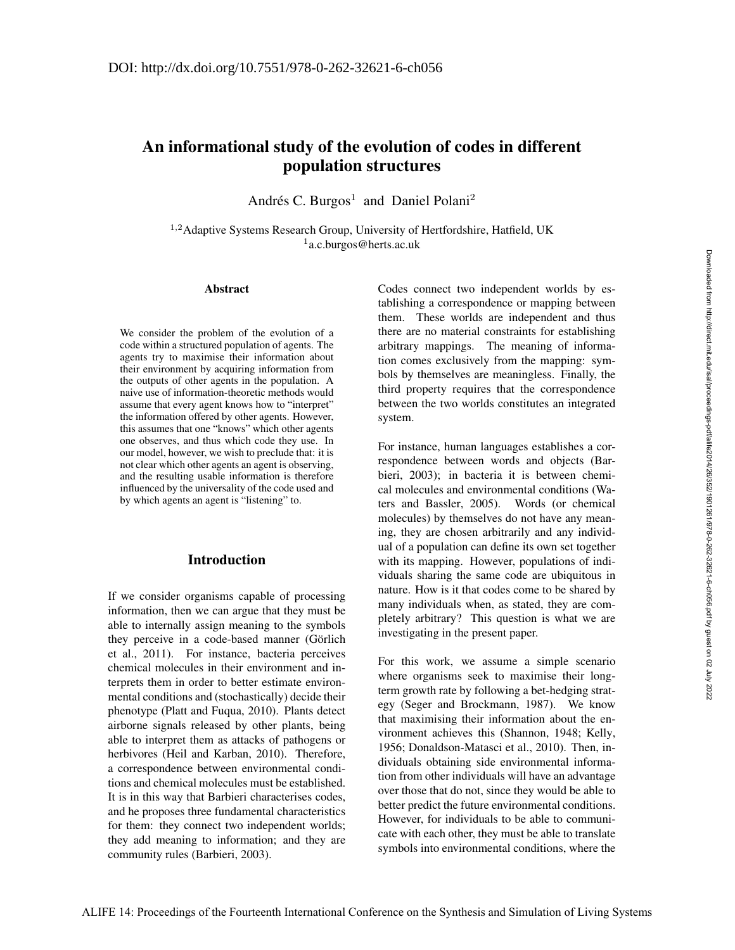# An informational study of the evolution of codes in different population structures

Andrés C. Burgos<sup>1</sup> and Daniel Polani<sup>2</sup>

<sup>1,2</sup>Adaptive Systems Research Group, University of Hertfordshire, Hatfield, UK <sup>1</sup>a.c.burgos@herts.ac.uk

#### Abstract

We consider the problem of the evolution of a code within a structured population of agents. The agents try to maximise their information about their environment by acquiring information from the outputs of other agents in the population. A naive use of information-theoretic methods would assume that every agent knows how to "interpret" the information offered by other agents. However, this assumes that one "knows" which other agents one observes, and thus which code they use. In our model, however, we wish to preclude that: it is not clear which other agents an agent is observing, and the resulting usable information is therefore influenced by the universality of the code used and by which agents an agent is "listening" to.

# Introduction

If we consider organisms capable of processing information, then we can argue that they must be able to internally assign meaning to the symbols they perceive in a code-based manner (Görlich et al., 2011). For instance, bacteria perceives chemical molecules in their environment and interprets them in order to better estimate environmental conditions and (stochastically) decide their phenotype (Platt and Fuqua, 2010). Plants detect airborne signals released by other plants, being able to interpret them as attacks of pathogens or herbivores (Heil and Karban, 2010). Therefore, a correspondence between environmental conditions and chemical molecules must be established. It is in this way that Barbieri characterises codes, and he proposes three fundamental characteristics for them: they connect two independent worlds; they add meaning to information; and they are community rules (Barbieri, 2003).

Codes connect two independent worlds by establishing a correspondence or mapping between them. These worlds are independent and thus there are no material constraints for establishing arbitrary mappings. The meaning of information comes exclusively from the mapping: symbols by themselves are meaningless. Finally, the third property requires that the correspondence between the two worlds constitutes an integrated system.

For instance, human languages establishes a correspondence between words and objects (Barbieri, 2003); in bacteria it is between chemical molecules and environmental conditions (Waters and Bassler, 2005). Words (or chemical molecules) by themselves do not have any meaning, they are chosen arbitrarily and any individual of a population can define its own set together with its mapping. However, populations of individuals sharing the same code are ubiquitous in nature. How is it that codes come to be shared by many individuals when, as stated, they are completely arbitrary? This question is what we are investigating in the present paper.

For this work, we assume a simple scenario where organisms seek to maximise their longterm growth rate by following a bet-hedging strategy (Seger and Brockmann, 1987). We know that maximising their information about the environment achieves this (Shannon, 1948; Kelly, 1956; Donaldson-Matasci et al., 2010). Then, individuals obtaining side environmental information from other individuals will have an advantage over those that do not, since they would be able to better predict the future environmental conditions. However, for individuals to be able to communicate with each other, they must be able to translate symbols into environmental conditions, where the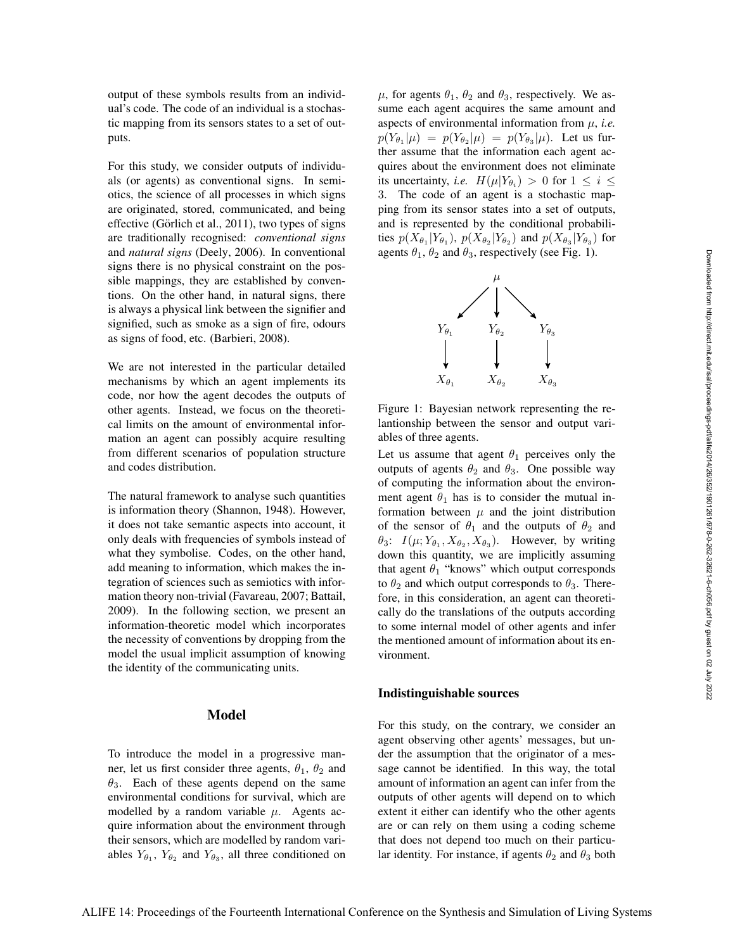output of these symbols results from an individual's code. The code of an individual is a stochastic mapping from its sensors states to a set of outputs.

For this study, we consider outputs of individuals (or agents) as conventional signs. In semiotics, the science of all processes in which signs are originated, stored, communicated, and being effective (Görlich et al., 2011), two types of signs are traditionally recognised: *conventional signs* and *natural signs* (Deely, 2006). In conventional signs there is no physical constraint on the possible mappings, they are established by conventions. On the other hand, in natural signs, there is always a physical link between the signifier and signified, such as smoke as a sign of fire, odours as signs of food, etc. (Barbieri, 2008).

We are not interested in the particular detailed mechanisms by which an agent implements its code, nor how the agent decodes the outputs of other agents. Instead, we focus on the theoretical limits on the amount of environmental information an agent can possibly acquire resulting from different scenarios of population structure and codes distribution.

The natural framework to analyse such quantities is information theory (Shannon, 1948). However, it does not take semantic aspects into account, it only deals with frequencies of symbols instead of what they symbolise. Codes, on the other hand, add meaning to information, which makes the integration of sciences such as semiotics with information theory non-trivial (Favareau, 2007; Battail, 2009). In the following section, we present an information-theoretic model which incorporates the necessity of conventions by dropping from the model the usual implicit assumption of knowing the identity of the communicating units.

# Model

To introduce the model in a progressive manner, let us first consider three agents,  $\theta_1$ ,  $\theta_2$  and  $\theta_3$ . Each of these agents depend on the same environmental conditions for survival, which are modelled by a random variable  $\mu$ . Agents acquire information about the environment through their sensors, which are modelled by random variables  $Y_{\theta_1}$ ,  $Y_{\theta_2}$  and  $Y_{\theta_3}$ , all three conditioned on  $\mu$ , for agents  $\theta_1$ ,  $\theta_2$  and  $\theta_3$ , respectively. We assume each agent acquires the same amount and aspects of environmental information from  $\mu$ , *i.e.*  $p(Y_{\theta_1}|\mu) = p(Y_{\theta_2}|\mu) = p(Y_{\theta_3}|\mu)$ . Let us further assume that the information each agent acquires about the environment does not eliminate its uncertainty, *i.e.*  $H(\mu|Y_{\theta_i}) > 0$  for  $1 \leq i \leq$ 3. The code of an agent is a stochastic mapping from its sensor states into a set of outputs, and is represented by the conditional probabilities  $p(X_{\theta_1}|Y_{\theta_1})$ ,  $p(X_{\theta_2}|Y_{\theta_2})$  and  $p(X_{\theta_3}|Y_{\theta_3})$  for agents  $\theta_1$ ,  $\theta_2$  and  $\theta_3$ , respectively (see Fig. 1).



Figure 1: Bayesian network representing the relantionship between the sensor and output variables of three agents.

Let us assume that agent  $\theta_1$  perceives only the outputs of agents  $\theta_2$  and  $\theta_3$ . One possible way of computing the information about the environment agent  $\theta_1$  has is to consider the mutual information between  $\mu$  and the joint distribution of the sensor of  $\theta_1$  and the outputs of  $\theta_2$  and  $\theta_3$ :  $I(\mu; Y_{\theta_1}, X_{\theta_2}, X_{\theta_3})$ . However, by writing down this quantity, we are implicitly assuming that agent  $\theta_1$  "knows" which output corresponds to  $\theta_2$  and which output corresponds to  $\theta_3$ . Therefore, in this consideration, an agent can theoretically do the translations of the outputs according to some internal model of other agents and infer the mentioned amount of information about its environment.

#### Indistinguishable sources

For this study, on the contrary, we consider an agent observing other agents' messages, but under the assumption that the originator of a message cannot be identified. In this way, the total amount of information an agent can infer from the outputs of other agents will depend on to which extent it either can identify who the other agents are or can rely on them using a coding scheme that does not depend too much on their particular identity. For instance, if agents  $\theta_2$  and  $\theta_3$  both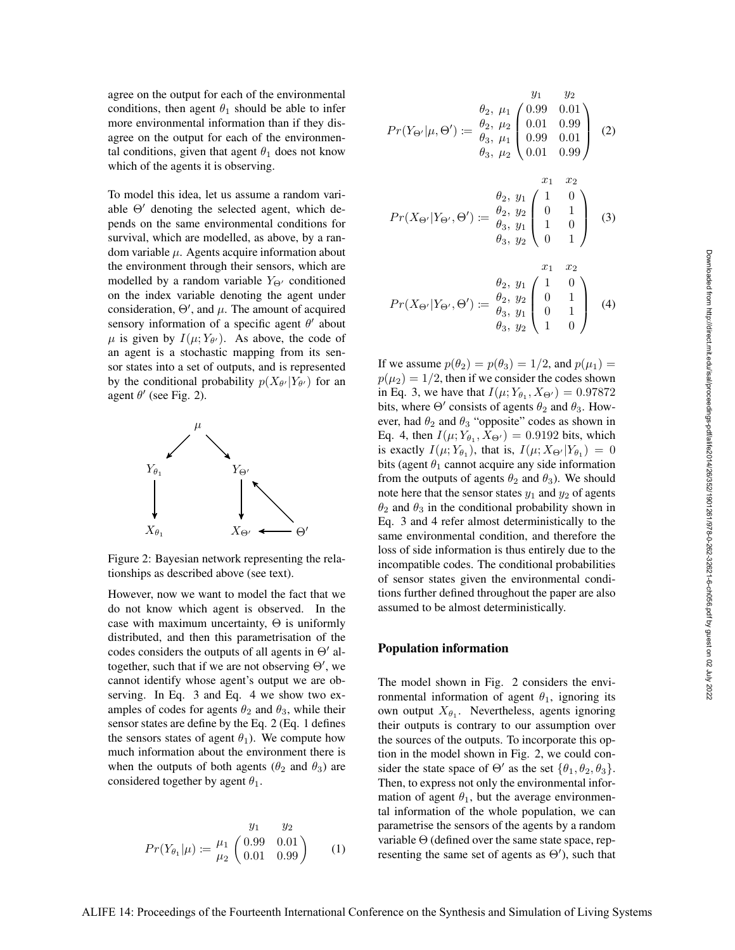agree on the output for each of the environmental conditions, then agent  $\theta_1$  should be able to infer more environmental information than if they disagree on the output for each of the environmental conditions, given that agent  $\theta_1$  does not know which of the agents it is observing.

To model this idea, let us assume a random variable  $\Theta'$  denoting the selected agent, which depends on the same environmental conditions for survival, which are modelled, as above, by a random variable  $\mu$ . Agents acquire information about the environment through their sensors, which are modelled by a random variable  $Y_{\Theta}$  conditioned on the index variable denoting the agent under consideration,  $\Theta'$ , and  $\mu$ . The amount of acquired sensory information of a specific agent  $\theta'$  about  $\mu$  is given by  $I(\mu; Y_{\theta'})$ . As above, the code of an agent is a stochastic mapping from its sensor states into a set of outputs, and is represented by the conditional probability  $p(X_{\theta'}|Y_{\theta'})$  for an agent  $\theta'$  (see Fig. 2).



Figure 2: Bayesian network representing the relationships as described above (see text).

However, now we want to model the fact that we do not know which agent is observed. In the case with maximum uncertainty,  $\Theta$  is uniformly distributed, and then this parametrisation of the codes considers the outputs of all agents in  $\Theta'$  altogether, such that if we are not observing  $\Theta'$ , we cannot identify whose agent's output we are observing. In Eq. 3 and Eq. 4 we show two examples of codes for agents  $\theta_2$  and  $\theta_3$ , while their sensor states are define by the Eq. 2 (Eq. 1 defines the sensors states of agent  $\theta_1$ ). We compute how much information about the environment there is when the outputs of both agents ( $\theta_2$  and  $\theta_3$ ) are considered together by agent  $\theta_1$ .

$$
Pr(Y_{\theta_1}|\mu) := \frac{\mu_1}{\mu_2} \begin{pmatrix} 0.99 & 0.01 \\ 0.01 & 0.99 \end{pmatrix}
$$
 (1)

$$
Pr(Y_{\Theta'}|\mu, \Theta') := \begin{pmatrix} y_1 & y_2 \\ \theta_2, \mu_1 \\ \theta_2, \mu_2 \\ \theta_3, \mu_1 \\ \theta_3, \mu_2 \end{pmatrix} \begin{pmatrix} y_1 & y_2 \\ 0.01 & 0.01 \\ 0.01 & 0.99 \\ 0.01 & 0.99 \end{pmatrix} (2)
$$

$$
Pr(X_{\Theta'}|Y_{\Theta'},\Theta') := \begin{pmatrix} x_1 & x_2 \\ \theta_2, y_1 \\ \theta_2, y_2 \\ \theta_3, y_1 \\ \theta_3, y_2 \end{pmatrix} \begin{pmatrix} x_1 & x_2 \\ 1 & 0 \\ 1 & 0 \\ 0 & 1 \end{pmatrix}
$$
 (3)

$$
Pr(X_{\Theta'}|Y_{\Theta'},\Theta') := \begin{pmatrix} x_1 & x_2 \\ \theta_2, y_1 \\ \theta_2, y_2 \\ \theta_3, y_1 \\ \theta_3, y_2 \end{pmatrix} \begin{pmatrix} x_1 & x_2 \\ 1 & 0 \\ 0 & 1 \\ 1 & 0 \end{pmatrix}
$$
 (4)

If we assume  $p(\theta_2) = p(\theta_3) = 1/2$ , and  $p(\mu_1) =$  $p(\mu_2) = 1/2$ , then if we consider the codes shown in Eq. 3, we have that  $I(\mu; Y_{\theta_1}, X_{\Theta'}) = 0.97872$ bits, where  $\Theta'$  consists of agents  $\theta_2$  and  $\theta_3$ . However, had  $\theta_2$  and  $\theta_3$  "opposite" codes as shown in Eq. 4, then  $I(\mu; Y_{\theta_1}, X_{\Theta'}) = 0.9192$  bits, which is exactly  $I(\mu; Y_{\theta_1})$ , that is,  $I(\mu; X_{\Theta'} | Y_{\theta_1}) = 0$ bits (agent  $\theta_1$  cannot acquire any side information from the outputs of agents  $\theta_2$  and  $\theta_3$ ). We should note here that the sensor states  $y_1$  and  $y_2$  of agents  $\theta_2$  and  $\theta_3$  in the conditional probability shown in Eq. 3 and 4 refer almost deterministically to the same environmental condition, and therefore the loss of side information is thus entirely due to the incompatible codes. The conditional probabilities of sensor states given the environmental conditions further defined throughout the paper are also assumed to be almost deterministically.

# Population information

The model shown in Fig. 2 considers the environmental information of agent  $\theta_1$ , ignoring its own output  $X_{\theta_1}$ . Nevertheless, agents ignoring their outputs is contrary to our assumption over the sources of the outputs. To incorporate this option in the model shown in Fig. 2, we could consider the state space of  $\Theta'$  as the set  $\{\theta_1, \theta_2, \theta_3\}.$ Then, to express not only the environmental information of agent  $\theta_1$ , but the average environmental information of the whole population, we can parametrise the sensors of the agents by a random variable  $\Theta$  (defined over the same state space, representing the same set of agents as  $\Theta'$ ), such that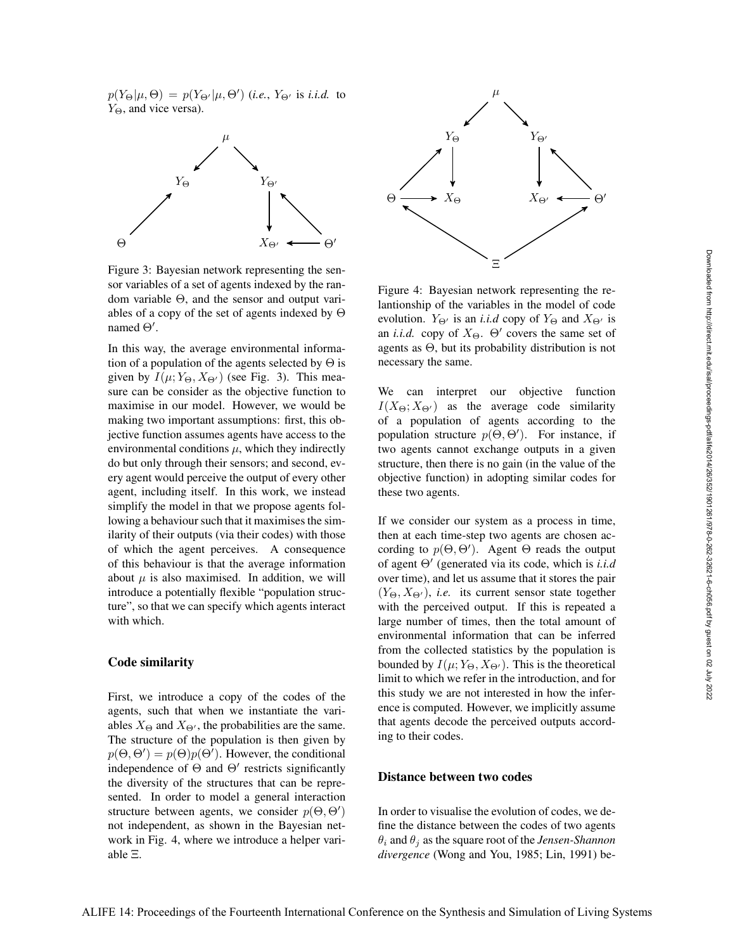$p(Y_{\Theta}|\mu,\Theta) = p(Y_{\Theta'}|\mu,\Theta')$  (*i.e.*,  $Y_{\Theta'}$  is *i.i.d.* to  $Y_{\Theta}$ , and vice versa).



Figure 3: Bayesian network representing the sensor variables of a set of agents indexed by the random variable Θ, and the sensor and output variables of a copy of the set of agents indexed by Θ named  $\Theta'$ .

In this way, the average environmental information of a population of the agents selected by  $\Theta$  is given by  $I(\mu; Y_{\Theta}, X_{\Theta})$  (see Fig. 3). This measure can be consider as the objective function to maximise in our model. However, we would be making two important assumptions: first, this objective function assumes agents have access to the environmental conditions  $\mu$ , which they indirectly do but only through their sensors; and second, every agent would perceive the output of every other agent, including itself. In this work, we instead simplify the model in that we propose agents following a behaviour such that it maximises the similarity of their outputs (via their codes) with those of which the agent perceives. A consequence of this behaviour is that the average information about  $\mu$  is also maximised. In addition, we will introduce a potentially flexible "population structure", so that we can specify which agents interact with which.

## Code similarity

First, we introduce a copy of the codes of the agents, such that when we instantiate the variables  $X_{\Theta}$  and  $X_{\Theta'}$ , the probabilities are the same. The structure of the population is then given by  $p(\Theta, \Theta') = p(\Theta)p(\Theta')$ . However, the conditional independence of  $\Theta$  and  $\Theta'$  restricts significantly the diversity of the structures that can be represented. In order to model a general interaction structure between agents, we consider  $p(\Theta, \Theta')$ not independent, as shown in the Bayesian network in Fig. 4, where we introduce a helper variable Ξ.



Figure 4: Bayesian network representing the relantionship of the variables in the model of code evolution.  $Y_{\Theta}$  is an *i.i.d* copy of  $Y_{\Theta}$  and  $X_{\Theta}$  is an *i.i.d.* copy of  $X_{\Theta}$ .  $\Theta'$  covers the same set of agents as Θ, but its probability distribution is not necessary the same.

We can interpret our objective function  $I(X_{\Theta}; X_{\Theta'})$  as the average code similarity of a population of agents according to the population structure  $p(\Theta, \Theta')$ . For instance, if two agents cannot exchange outputs in a given structure, then there is no gain (in the value of the objective function) in adopting similar codes for these two agents.

If we consider our system as a process in time, then at each time-step two agents are chosen according to  $p(\Theta, \Theta')$ . Agent  $\Theta$  reads the output of agent Θ 0 (generated via its code, which is *i.i.d* over time), and let us assume that it stores the pair  $(Y_{\Theta}, X_{\Theta'})$ , *i.e.* its current sensor state together with the perceived output. If this is repeated a large number of times, then the total amount of environmental information that can be inferred from the collected statistics by the population is bounded by  $I(\mu; Y_{\Theta}, X_{\Theta})$ . This is the theoretical limit to which we refer in the introduction, and for this study we are not interested in how the inference is computed. However, we implicitly assume that agents decode the perceived outputs according to their codes.

#### Distance between two codes

In order to visualise the evolution of codes, we define the distance between the codes of two agents  $\theta_i$  and  $\theta_j$  as the square root of the *Jensen-Shannon divergence* (Wong and You, 1985; Lin, 1991) be-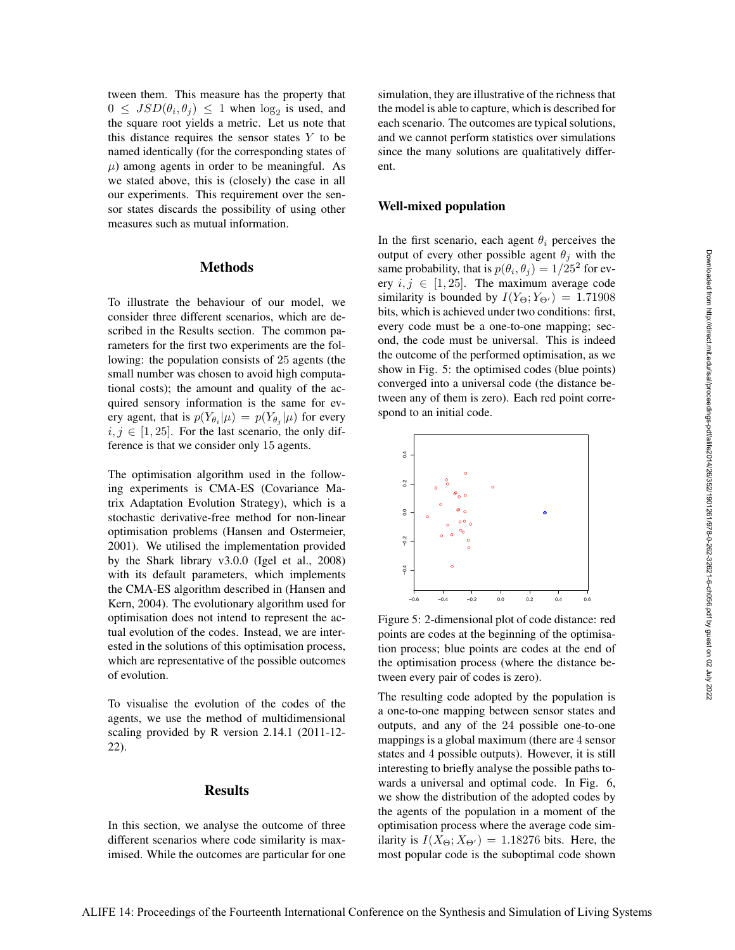tween them. This measure has the property that  $0 \leq JSD(\theta_i, \theta_j) \leq 1$  when  $\log_2$  is used, and the square root yields a metric. Let us note that this distance requires the sensor states  $Y$  to be named identically (for the corresponding states of  $\mu$ ) among agents in order to be meaningful. As we stated above, this is (closely) the case in all our experiments. This requirement over the sensor states discards the possibility of using other measures such as mutual information.

#### **Methods**

To illustrate the behaviour of our model, we consider three different scenarios, which are described in the Results section. The common parameters for the first two experiments are the following: the population consists of 25 agents (the small number was chosen to avoid high computational costs); the amount and quality of the acquired sensory information is the same for every agent, that is  $p(Y_{\theta_i}|\mu) = p(Y_{\theta_i}|\mu)$  for every  $i, j \in [1, 25]$ . For the last scenario, the only difference is that we consider only 15 agents.

The optimisation algorithm used in the following experiments is CMA-ES (Covariance Matrix Adaptation Evolution Strategy), which is a stochastic derivative-free method for non-linear optimisation problems (Hansen and Ostermeier, 2001). We utilised the implementation provided by the Shark library v3.0.0 (Igel et al., 2008) with its default parameters, which implements the CMA-ES algorithm described in (Hansen and Kern, 2004). The evolutionary algorithm used for optimisation does not intend to represent the actual evolution of the codes. Instead, we are interested in the solutions of this optimisation process, which are representative of the possible outcomes of evolution.

To visualise the evolution of the codes of the agents, we use the method of multidimensional scaling provided by R version 2.14.1 (2011-12- 22).

# Results

In this section, we analyse the outcome of three different scenarios where code similarity is maximised. While the outcomes are particular for one simulation, they are illustrative of the richness that the model is able to capture, which is described for each scenario. The outcomes are typical solutions, and we cannot perform statistics over simulations since the many solutions are qualitatively different.

#### Well-mixed population

In the first scenario, each agent  $\theta_i$  perceives the output of every other possible agent  $\theta_j$  with the same probability, that is  $p(\theta_i, \theta_j) = 1/25^2$  for every  $i, j \in [1, 25]$ . The maximum average code similarity is bounded by  $I(Y_{\Theta}; Y_{\Theta'}) = 1.71908$ bits, which is achieved under two conditions: first, every code must be a one-to-one mapping; second, the code must be universal. This is indeed the outcome of the performed optimisation, as we show in Fig. 5: the optimised codes (blue points) converged into a universal code (the distance between any of them is zero). Each red point correspond to an initial code.



Figure 5: 2-dimensional plot of code distance: red points are codes at the beginning of the optimisation process; blue points are codes at the end of the optimisation process (where the distance between every pair of codes is zero).

The resulting code adopted by the population is a one-to-one mapping between sensor states and outputs, and any of the 24 possible one-to-one mappings is a global maximum (there are 4 sensor states and 4 possible outputs). However, it is still interesting to briefly analyse the possible paths towards a universal and optimal code. In Fig. 6, we show the distribution of the adopted codes by the agents of the population in a moment of the optimisation process where the average code similarity is  $I(X_{\Theta}; X_{\Theta'}) = 1.18276$  bits. Here, the most popular code is the suboptimal code shown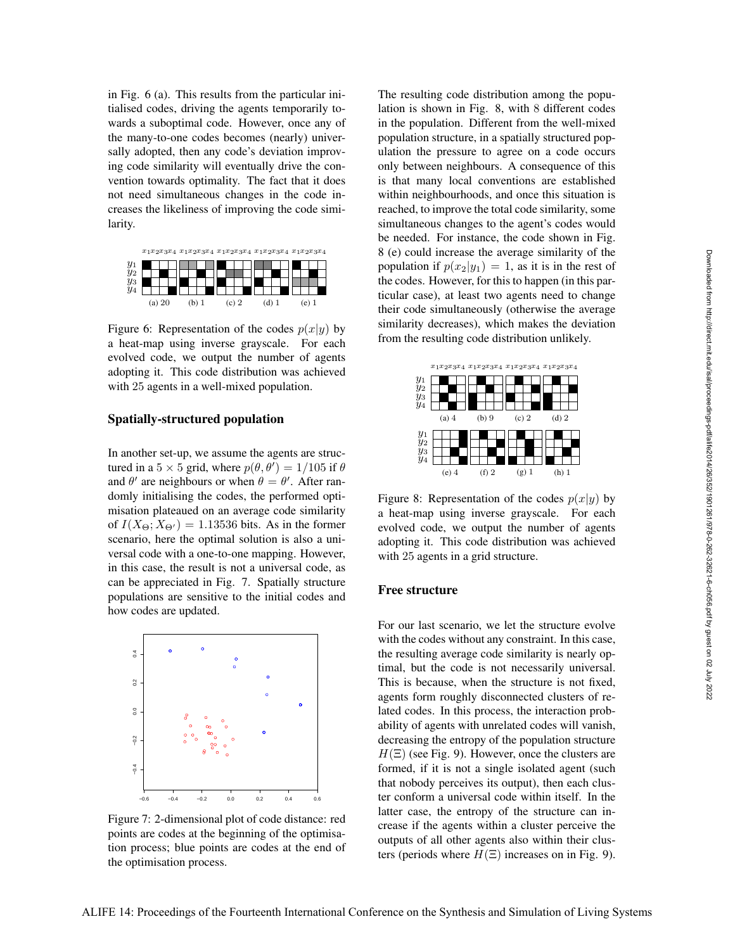in Fig. 6 (a). This results from the particular initialised codes, driving the agents temporarily towards a suboptimal code. However, once any of the many-to-one codes becomes (nearly) universally adopted, then any code's deviation improving code similarity will eventually drive the convention towards optimality. The fact that it does not need simultaneous changes in the code increases the likeliness of improving the code similarity.



Figure 6: Representation of the codes  $p(x|y)$  by a heat-map using inverse grayscale. For each evolved code, we output the number of agents adopting it. This code distribution was achieved with 25 agents in a well-mixed population.

#### Spatially-structured population

In another set-up, we assume the agents are structured in a  $5 \times 5$  grid, where  $p(\theta, \theta') = 1/105$  if  $\theta$ and  $\theta'$  are neighbours or when  $\theta = \theta'$ . After randomly initialising the codes, the performed optimisation plateaued on an average code similarity of  $I(X_{\Theta}; X_{\Theta'}) = 1.13536$  bits. As in the former scenario, here the optimal solution is also a universal code with a one-to-one mapping. However, in this case, the result is not a universal code, as can be appreciated in Fig. 7. Spatially structure populations are sensitive to the initial codes and how codes are updated.



Figure 7: 2-dimensional plot of code distance: red points are codes at the beginning of the optimisation process; blue points are codes at the end of the optimisation process.

The resulting code distribution among the population is shown in Fig. 8, with 8 different codes in the population. Different from the well-mixed population structure, in a spatially structured population the pressure to agree on a code occurs only between neighbours. A consequence of this is that many local conventions are established within neighbourhoods, and once this situation is reached, to improve the total code similarity, some simultaneous changes to the agent's codes would be needed. For instance, the code shown in Fig. 8 (e) could increase the average similarity of the population if  $p(x_2|y_1) = 1$ , as it is in the rest of the codes. However, for this to happen (in this particular case), at least two agents need to change their code simultaneously (otherwise the average similarity decreases), which makes the deviation from the resulting code distribution unlikely.



Figure 8: Representation of the codes  $p(x|y)$  by a heat-map using inverse grayscale. For each evolved code, we output the number of agents adopting it. This code distribution was achieved with 25 agents in a grid structure.

## Free structure

For our last scenario, we let the structure evolve with the codes without any constraint. In this case, the resulting average code similarity is nearly optimal, but the code is not necessarily universal. This is because, when the structure is not fixed, agents form roughly disconnected clusters of related codes. In this process, the interaction probability of agents with unrelated codes will vanish, decreasing the entropy of the population structure  $H(\Xi)$  (see Fig. 9). However, once the clusters are formed, if it is not a single isolated agent (such that nobody perceives its output), then each cluster conform a universal code within itself. In the latter case, the entropy of the structure can increase if the agents within a cluster perceive the outputs of all other agents also within their clusters (periods where  $H(\Xi)$  increases on in Fig. 9).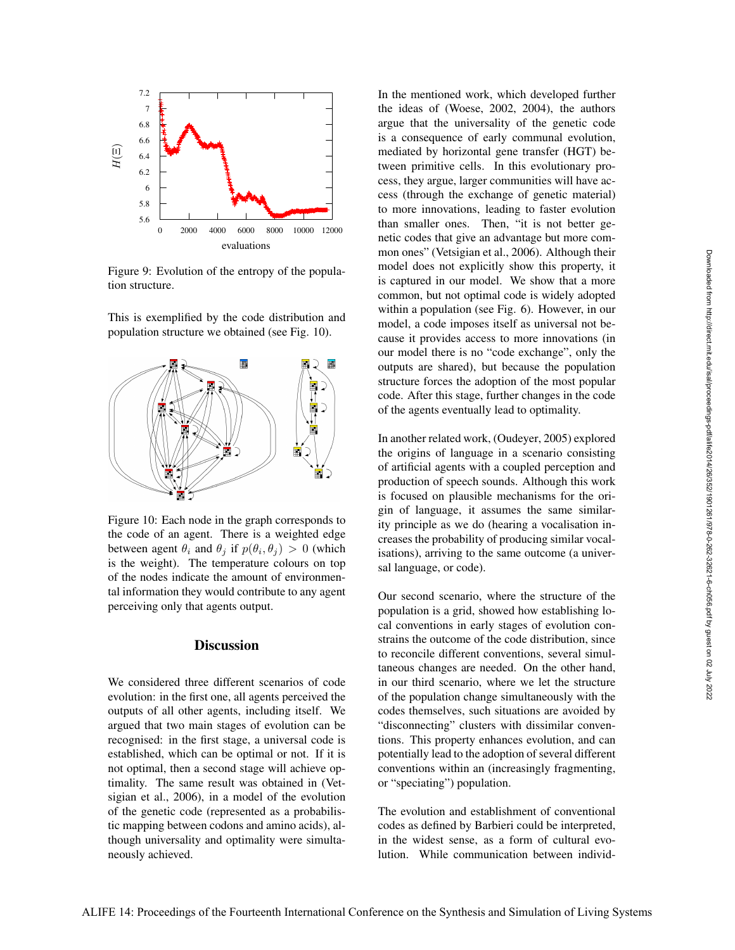

Figure 9: Evolution of the entropy of the population structure.

This is exemplified by the code distribution and population structure we obtained (see Fig. 10).



Figure 10: Each node in the graph corresponds to the code of an agent. There is a weighted edge between agent  $\theta_i$  and  $\theta_j$  if  $p(\theta_i, \theta_j) > 0$  (which is the weight). The temperature colours on top of the nodes indicate the amount of environmental information they would contribute to any agent perceiving only that agents output.

# **Discussion**

We considered three different scenarios of code evolution: in the first one, all agents perceived the outputs of all other agents, including itself. We argued that two main stages of evolution can be recognised: in the first stage, a universal code is established, which can be optimal or not. If it is not optimal, then a second stage will achieve optimality. The same result was obtained in (Vetsigian et al., 2006), in a model of the evolution of the genetic code (represented as a probabilistic mapping between codons and amino acids), although universality and optimality were simultaneously achieved.

In the mentioned work, which developed further the ideas of (Woese, 2002, 2004), the authors argue that the universality of the genetic code is a consequence of early communal evolution, mediated by horizontal gene transfer (HGT) between primitive cells. In this evolutionary process, they argue, larger communities will have access (through the exchange of genetic material) to more innovations, leading to faster evolution than smaller ones. Then, "it is not better genetic codes that give an advantage but more common ones" (Vetsigian et al., 2006). Although their model does not explicitly show this property, it is captured in our model. We show that a more common, but not optimal code is widely adopted within a population (see Fig. 6). However, in our model, a code imposes itself as universal not because it provides access to more innovations (in our model there is no "code exchange", only the outputs are shared), but because the population structure forces the adoption of the most popular code. After this stage, further changes in the code of the agents eventually lead to optimality.

In another related work, (Oudeyer, 2005) explored the origins of language in a scenario consisting of artificial agents with a coupled perception and production of speech sounds. Although this work is focused on plausible mechanisms for the origin of language, it assumes the same similarity principle as we do (hearing a vocalisation increases the probability of producing similar vocalisations), arriving to the same outcome (a universal language, or code).

Our second scenario, where the structure of the population is a grid, showed how establishing local conventions in early stages of evolution constrains the outcome of the code distribution, since to reconcile different conventions, several simultaneous changes are needed. On the other hand, in our third scenario, where we let the structure of the population change simultaneously with the codes themselves, such situations are avoided by "disconnecting" clusters with dissimilar conventions. This property enhances evolution, and can potentially lead to the adoption of several different conventions within an (increasingly fragmenting, or "speciating") population.

The evolution and establishment of conventional codes as defined by Barbieri could be interpreted, in the widest sense, as a form of cultural evolution. While communication between individ-